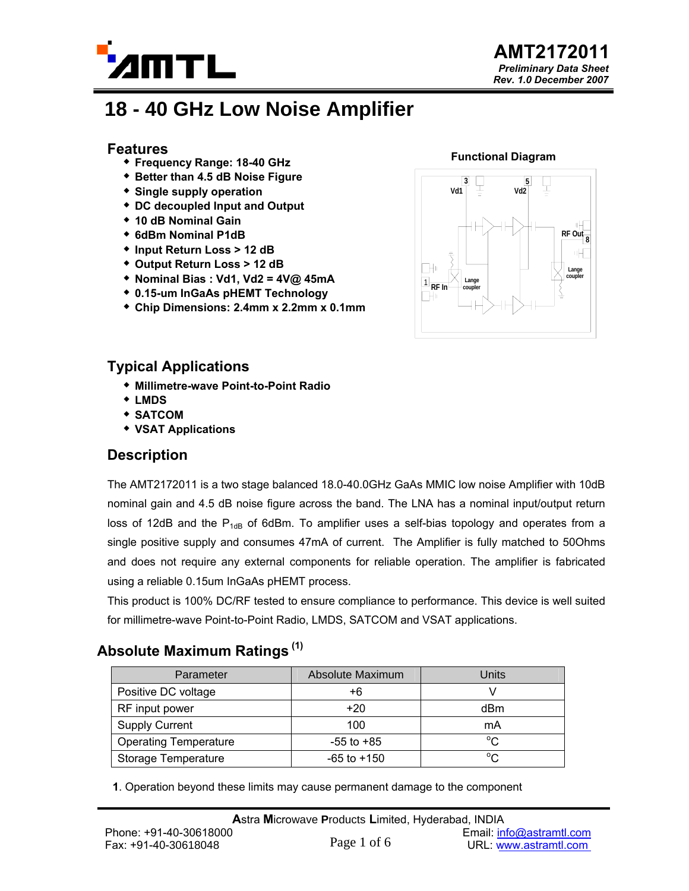

# **18 - 40 GHz Low Noise Amplifier**

#### **Features**

- **Frequency Range: 18-40 GHz**
- **Better than 4.5 dB Noise Figure**
- **Single supply operation**
- **DC decoupled Input and Output**
- **10 dB Nominal Gain**
- **6dBm Nominal P1dB**
- **Input Return Loss > 12 dB**
- **Output Return Loss > 12 dB**
- **Nominal Bias : Vd1, Vd2 = 4V@ 45mA**
- **0.15-um InGaAs pHEMT Technology**
- **Chip Dimensions: 2.4mm x 2.2mm x 0.1mm**

#### **Functional Diagram**



### **Typical Applications**

- **Millimetre-wave Point-to-Point Radio**
- **LMDS**
- **SATCOM**
- **VSAT Applications**

### **Description**

The AMT2172011 is a two stage balanced 18.0-40.0GHz GaAs MMIC low noise Amplifier with 10dB nominal gain and 4.5 dB noise figure across the band. The LNA has a nominal input/output return loss of 12dB and the  $P_{1dB}$  of 6dBm. To amplifier uses a self-bias topology and operates from a single positive supply and consumes 47mA of current. The Amplifier is fully matched to 50Ohms and does not require any external components for reliable operation. The amplifier is fabricated using a reliable 0.15um InGaAs pHEMT process.

This product is 100% DC/RF tested to ensure compliance to performance. This device is well suited for millimetre-wave Point-to-Point Radio, LMDS, SATCOM and VSAT applications.

# **Absolute Maximum Ratings (1)**

| Parameter                    | Absolute Maximum | Units        |
|------------------------------|------------------|--------------|
| Positive DC voltage          | +6               |              |
| RF input power               | $+20$            | dBm          |
| <b>Supply Current</b>        | 100              | mA           |
| <b>Operating Temperature</b> | $-55$ to $+85$   | $^{\circ}$ C |
| Storage Temperature          | $-65$ to $+150$  | $^{\circ}C$  |

**1**. Operation beyond these limits may cause permanent damage to the component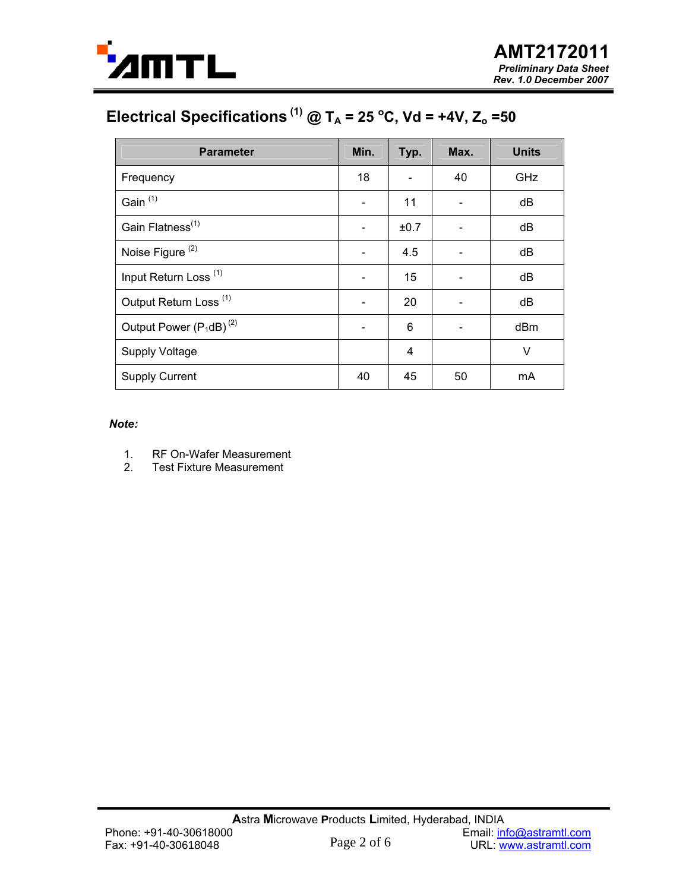

# Electrical Specifications<sup>(1)</sup> @ T<sub>A</sub> = 25 °C, Vd = +4V, Z<sub>o</sub> =50

| <b>Parameter</b>                  | Min. | Typ. | Max. | <b>Units</b> |
|-----------------------------------|------|------|------|--------------|
| Frequency                         | 18   |      | 40   | GHz          |
| Gain <sup>(1)</sup>               | ۰    | 11   |      | dB           |
| Gain Flatness <sup>(1)</sup>      |      | ±0.7 |      | dB           |
| Noise Figure <sup>(2)</sup>       |      | 4.5  |      | dB           |
| Input Return Loss <sup>(1)</sup>  |      | 15   |      | dB           |
| Output Return Loss <sup>(1)</sup> |      | 20   |      | dB           |
| Output Power $(P_1dB)^{(2)}$      |      | 6    |      | dBm          |
| <b>Supply Voltage</b>             |      | 4    |      | $\vee$       |
| <b>Supply Current</b>             | 40   | 45   | 50   | mA           |

#### *Note:*

- 1. RF On-Wafer Measurement
- 2. Test Fixture Measurement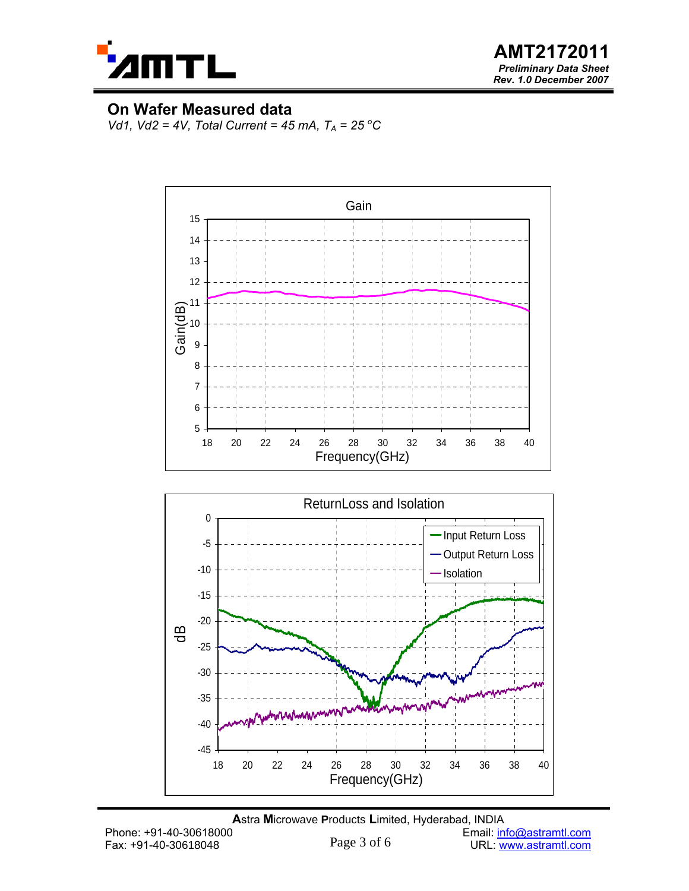

**AMT2172011**  *Preliminary Data Sheet Rev. 1.0 December 2007*

### **On Wafer Measured data**

*Vd1, Vd2 = 4V, Total Current = 45 mA, T<sub>A</sub> = 25 °C* 



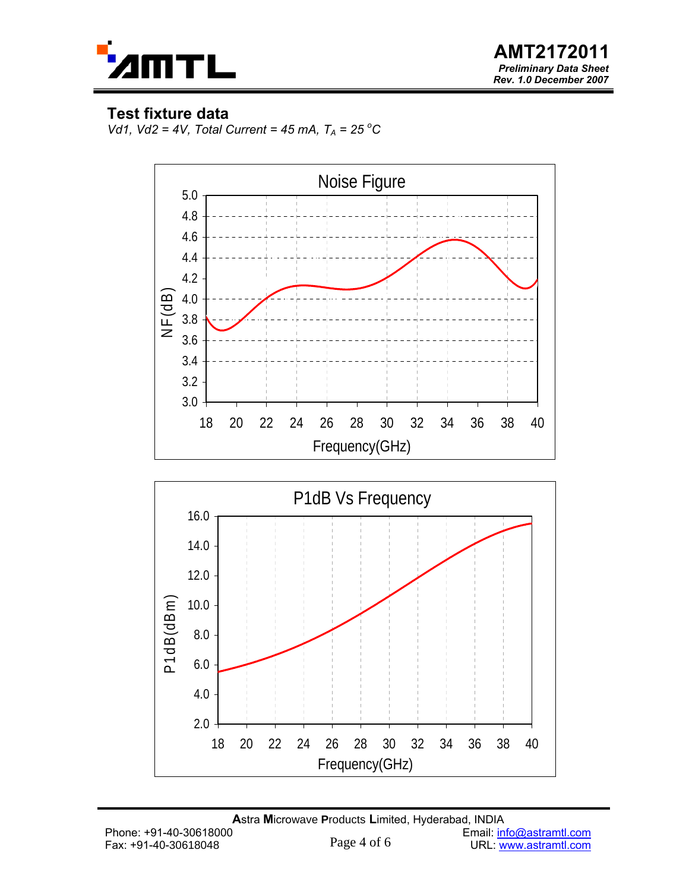

**AMT2172011**  *Preliminary Data Sheet Rev. 1.0 December 2007*

### **Test fixture data**

2.0

4.0

6.0

*Vd1, Vd2* = 4*V, Total Current* = 45 mA,  $T_A$  = 25 °C



18 20 22 24 26 28 30 32 34 36 38 40 Frequency(GHz)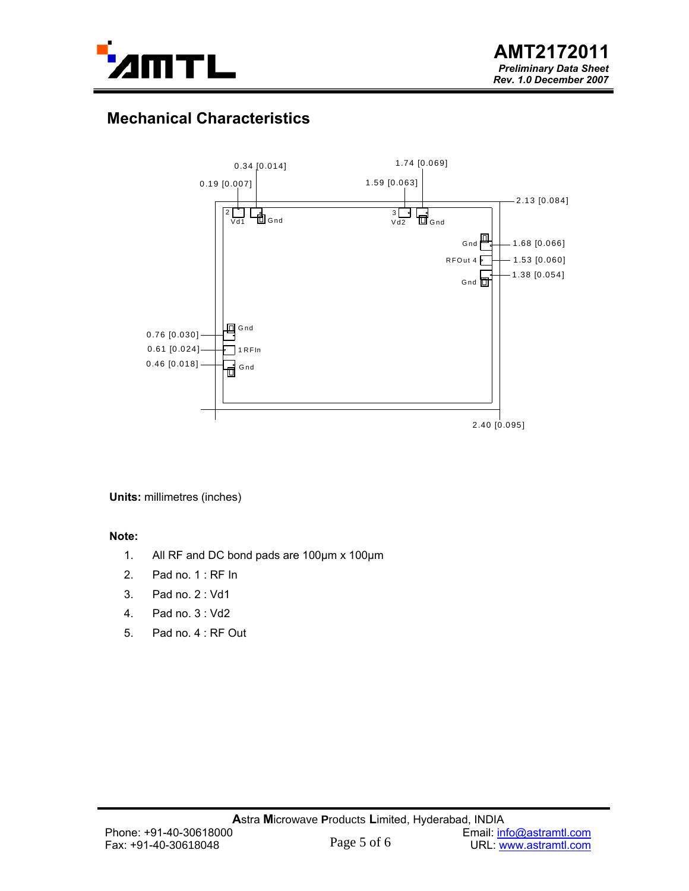

# **Mechanical Characteristics**



**Units:** millimetres (inches)

#### **Note:**

- 1. All RF and DC bond pads are 100µm x 100µm
- 2. Pad no. 1 : RF In
- 3. Pad no. 2 : Vd1
- 4. Pad no. 3 : Vd2
- 5. Pad no. 4 : RF Out